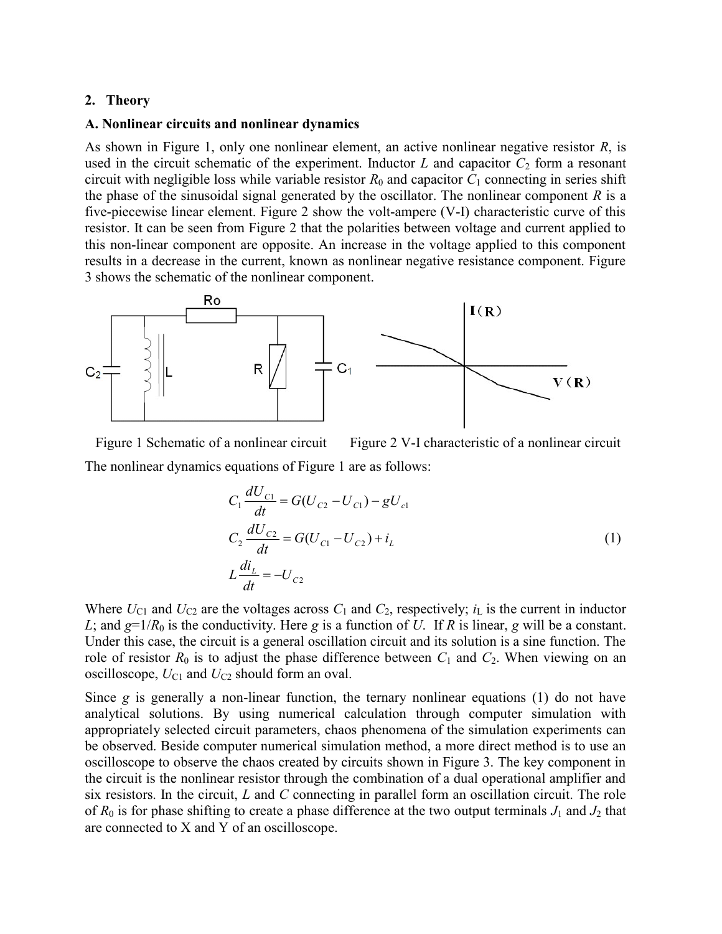## 2. Theory

#### A. Nonlinear circuits and nonlinear dynamics

As shown in Figure 1, only one nonlinear element, an active nonlinear negative resistor R, is used in the circuit schematic of the experiment. Inductor  $L$  and capacitor  $C_2$  form a resonant circuit with negligible loss while variable resistor  $R_0$  and capacitor  $C_1$  connecting in series shift the phase of the sinusoidal signal generated by the oscillator. The nonlinear component  $R$  is a five-piecewise linear element. Figure 2 show the volt-ampere (V-I) characteristic curve of this resistor. It can be seen from Figure 2 that the polarities between voltage and current applied to this non-linear component are opposite. An increase in the voltage applied to this component results in a decrease in the current, known as nonlinear negative resistance component. Figure 3 shows the schematic of the nonlinear component.



Figure 1 Schematic of a nonlinear circuit Figure 2 V-I characteristic of a nonlinear circuit The nonlinear dynamics equations of Figure 1 are as follows:

$$
C_1 \frac{dU_{C1}}{dt} = G(U_{C2} - U_{C1}) - gU_{c1}
$$
  
\n
$$
C_2 \frac{dU_{C2}}{dt} = G(U_{C1} - U_{C2}) + i_L
$$
  
\n
$$
L \frac{di_L}{dt} = -U_{C2}
$$
\n(1)

Where  $U_{C1}$  and  $U_{C2}$  are the voltages across  $C_1$  and  $C_2$ , respectively;  $i_L$  is the current in inductor L; and  $g=1/R_0$  is the conductivity. Here g is a function of U. If R is linear, g will be a constant. Under this case, the circuit is a general oscillation circuit and its solution is a sine function. The role of resistor  $R_0$  is to adjust the phase difference between  $C_1$  and  $C_2$ . When viewing on an oscilloscope,  $U_{C1}$  and  $U_{C2}$  should form an oval.

Since  $g$  is generally a non-linear function, the ternary nonlinear equations (1) do not have analytical solutions. By using numerical calculation through computer simulation with appropriately selected circuit parameters, chaos phenomena of the simulation experiments can be observed. Beside computer numerical simulation method, a more direct method is to use an oscilloscope to observe the chaos created by circuits shown in Figure 3. The key component in the circuit is the nonlinear resistor through the combination of a dual operational amplifier and six resistors. In the circuit,  $L$  and  $C$  connecting in parallel form an oscillation circuit. The role of  $R_0$  is for phase shifting to create a phase difference at the two output terminals  $J_1$  and  $J_2$  that are connected to X and Y of an oscilloscope.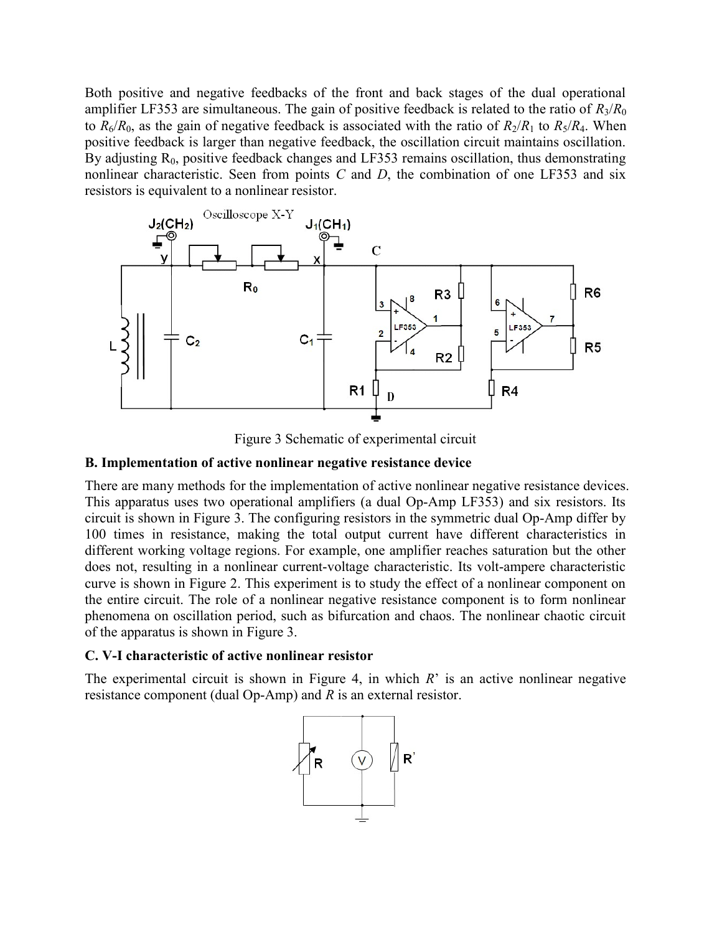Both positive and negative feedbacks of the front and back stages of the dual operational amplifier LF353 are simultaneous. The gain of positive feedback is related to the ratio of  $R_3/R_0$ to  $R_6/R_0$ , as the gain of negative feedback is associated with the ratio of  $R_2/R_1$  to  $R_5/R_4$ . When positive feedback is larger than negative feedback, the oscillation circuit maintains oscillation. By adjusting  $R_0$ , positive feedback changes and LF353 remains oscillation, thus demonstrating nonlinear characteristic. Seen from points  $C$  and  $D$ , the combination of one LF353 and six resistors is equivalent to a nonlinear resistor.



Figure 3 Schematic of experimental circuit

# B. Implementation of active nonlinear negative resistance device

There are many methods for the implementation of active nonlinear negative resistance devices. This apparatus uses two operational amplifiers (a dual Op-Amp LF353) and six resistors. Its circuit is shown in Figure 3. The configuring resistors in the symmetric dual Op-Amp differ by 100 times in resistance, making the total output current have different characteristics in different working voltage regions. For example, one amplifier reaches saturation but the other does not, resulting in a nonlinear current-voltage characteristic. Its volt-ampere characteristic curve is shown in Figure 2. This experiment is to study the effect of a nonlinear component on the entire circuit. The role of a nonlinear negative resistance component is to form nonlinear phenomena on oscillation period, such as bifurcation and chaos. The nonlinear chaotic circuit of the apparatus is shown in Figure 3.

# C. V-I characteristic of active nonlinear resistor

The experimental circuit is shown in Figure 4, in which  $R$ <sup>2</sup> is an active nonlinear negative resistance component (dual Op-Amp) and R is an external resistor.